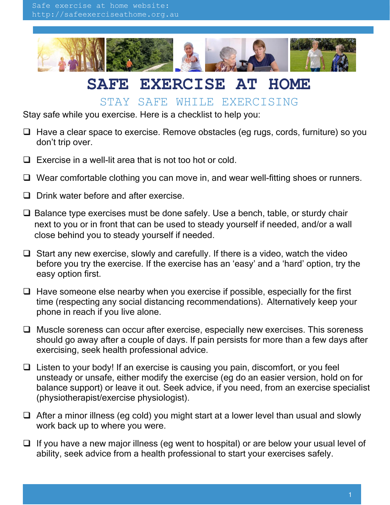

## **SAFE EXERCISE AT HOME**

## STAY SAFE WHILE EXERCISING

Stay safe while you exercise. Here is a checklist to help you:

- $\Box$  Have a clear space to exercise. Remove obstacles (eg rugs, cords, furniture) so you don't trip over.
- $\Box$  Exercise in a well-lit area that is not too hot or cold.
- $\Box$  Wear comfortable clothing you can move in, and wear well-fitting shoes or runners.
- $\Box$  Drink water before and after exercise.
- $\Box$  Balance type exercises must be done safely. Use a bench, table, or sturdy chair next to you or in front that can be used to steady yourself if needed, and/or a wall close behind you to steady yourself if needed.
- $\Box$  Start any new exercise, slowly and carefully. If there is a video, watch the video before you try the exercise. If the exercise has an 'easy' and a 'hard' option, try the easy option first.
- $\Box$  Have someone else nearby when you exercise if possible, especially for the first time (respecting any social distancing recommendations). Alternatively keep your phone in reach if you live alone.
- $\Box$  Muscle soreness can occur after exercise, especially new exercises. This soreness should go away after a couple of days. If pain persists for more than a few days after exercising, seek health professional advice.
- $\Box$  Listen to your body! If an exercise is causing you pain, discomfort, or you feel unsteady or unsafe, either modify the exercise (eg do an easier version, hold on for balance support) or leave it out. Seek advice, if you need, from an exercise specialist (physiotherapist/exercise physiologist).
- $\Box$  After a minor illness (eg cold) you might start at a lower level than usual and slowly work back up to where you were.
- $\Box$  If you have a new major illness (eg went to hospital) or are below your usual level of ability, seek advice from a health professional to start your exercises safely.